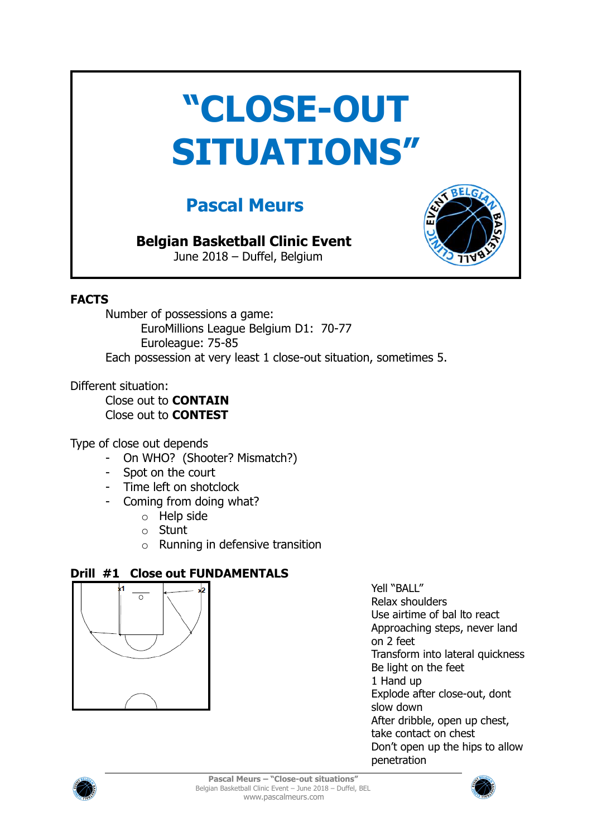# **"CLOSE-OUT SITUATIONS"**

## **Pascal Meurs**

### **Belgian Basketball Clinic Event**

June 2018 – Duffel, Belgium



#### **FACTS**

Number of possessions a game: EuroMillions League Belgium D1: 70-77 Euroleague: 75-85 Each possession at very least 1 close-out situation, sometimes 5.

Different situation:

Close out to **CONTAIN** Close out to **CONTEST**

Type of close out depends

- On WHO? (Shooter? Mismatch?)
- Spot on the court
- Time left on shotclock
- Coming from doing what?
	- o Help side
	- o Stunt
	- o Running in defensive transition

#### **Drill #1 Close out FUNDAMENTALS**



Yell "BALL" Relax shoulders Use airtime of bal lto react Approaching steps, never land on 2 feet Transform into lateral quickness Be light on the feet 1 Hand up Explode after close-out, dont slow down After dribble, open up chest, take contact on chest Don't open up the hips to allow penetration



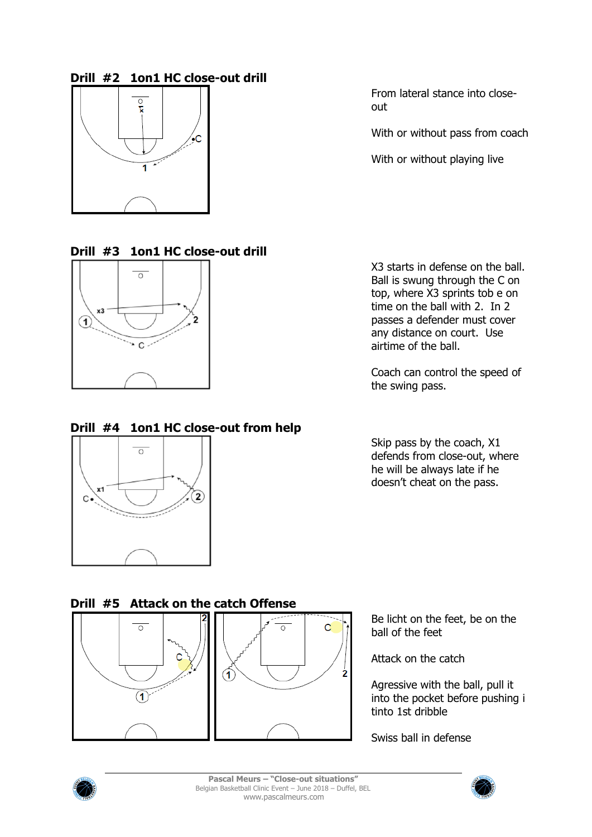#### **Drill #2 1on1 HC close-out drill**



From lateral stance into closeout

With or without pass from coach

With or without playing live

#### **Drill #3 1on1 HC close-out drill**



#### **Drill #4 1on1 HC close-out from help**



X3 starts in defense on the ball. Ball is swung through the C on top, where X3 sprints tob e on time on the ball with 2. In 2 passes a defender must cover any distance on court. Use airtime of the ball.

Coach can control the speed of the swing pass.

Skip pass by the coach, X1 defends from close-out, where he will be always late if he doesn't cheat on the pass.

#### **Drill #5 Attack on the catch Offense**





Be licht on the feet, be on the ball of the feet

Attack on the catch

Agressive with the ball, pull it into the pocket before pushing i tinto 1st dribble

Swiss ball in defense